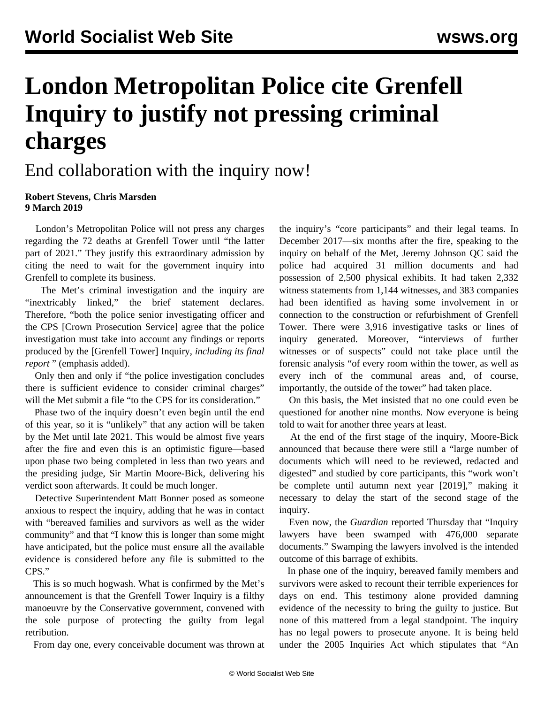## **London Metropolitan Police cite Grenfell Inquiry to justify not pressing criminal charges**

## End collaboration with the inquiry now!

## **Robert Stevens, Chris Marsden 9 March 2019**

 London's Metropolitan Police will not press any charges regarding the 72 deaths at Grenfell Tower until "the latter part of 2021." They justify this extraordinary admission by citing the need to wait for the government inquiry into Grenfell to complete its business.

 The Met's criminal investigation and the inquiry are "inextricably linked," the brief statement declares. Therefore, "both the police senior investigating officer and the CPS [Crown Prosecution Service] agree that the police investigation must take into account any findings or reports produced by the [Grenfell Tower] Inquiry, *including its final report* " (emphasis added).

 Only then and only if "the police investigation concludes there is sufficient evidence to consider criminal charges" will the Met submit a file "to the CPS for its consideration."

 Phase two of the inquiry doesn't even begin until the end of this year, so it is "unlikely" that any action will be taken by the Met until late 2021. This would be almost five years after the fire and even this is an optimistic figure—based upon phase two being completed in less than two years and the presiding judge, Sir Martin Moore-Bick, delivering his verdict soon afterwards. It could be much longer.

 Detective Superintendent Matt Bonner posed as someone anxious to respect the inquiry, adding that he was in contact with "bereaved families and survivors as well as the wider community" and that "I know this is longer than some might have anticipated, but the police must ensure all the available evidence is considered before any file is submitted to the CPS."

 This is so much hogwash. What is confirmed by the Met's announcement is that the Grenfell Tower Inquiry is a filthy manoeuvre by the Conservative government, convened with the sole purpose of protecting the guilty from legal retribution.

From day one, every conceivable document was thrown at

the inquiry's "core participants" and their legal teams. In December 2017—six months after the fire, speaking to the inquiry on behalf of the Met, Jeremy Johnson QC said the police had acquired 31 million documents and had possession of 2,500 physical exhibits. It had taken 2,332 witness statements from 1,144 witnesses, and 383 companies had been identified as having some involvement in or connection to the construction or refurbishment of Grenfell Tower. There were 3,916 investigative tasks or lines of inquiry generated. Moreover, "interviews of further witnesses or of suspects" could not take place until the forensic analysis "of every room within the tower, as well as every inch of the communal areas and, of course, importantly, the outside of the tower" had taken place.

 On this basis, the Met insisted that no one could even be questioned for another nine months. Now everyone is being told to wait for another three years at least.

 At the end of the first stage of the inquiry, Moore-Bick announced that because there were still a "large number of documents which will need to be reviewed, redacted and digested" and studied by core participants, this "work won't be complete until autumn next year [2019]," making it necessary to delay the start of the second stage of the inquiry.

 Even now, the *Guardian* reported Thursday that "Inquiry lawyers have been swamped with 476,000 separate documents." Swamping the lawyers involved is the intended outcome of this barrage of exhibits.

 In phase one of the inquiry, bereaved family members and survivors were asked to recount their terrible experiences for days on end. This testimony alone provided damning evidence of the necessity to bring the guilty to justice. But none of this mattered from a legal standpoint. The inquiry has no legal powers to prosecute anyone. It is being held under the 2005 Inquiries Act which stipulates that "An